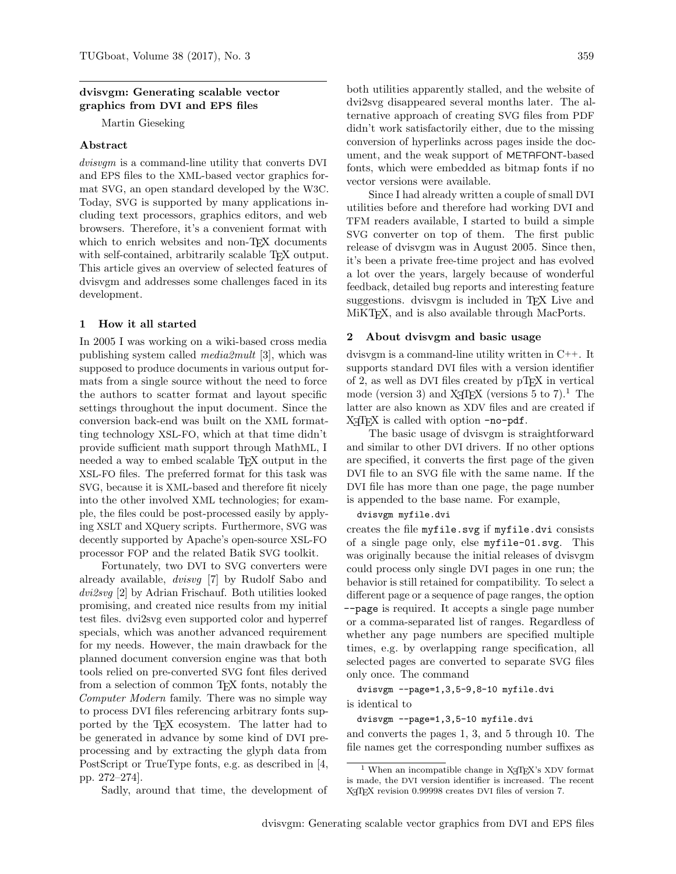### dvisvgm: Generating scalable vector graphics from DVI and EPS files

Martin Gieseking

# Abstract

dvisvgm is a command-line utility that converts DVI and EPS files to the XML-based vector graphics format SVG, an open standard developed by the W3C. Today, SVG is supported by many applications including text processors, graphics editors, and web browsers. Therefore, it's a convenient format with which to enrich websites and non-T<sub>F</sub>X documents with self-contained, arbitrarily scalable TFX output. This article gives an overview of selected features of dvisvgm and addresses some challenges faced in its development.

### 1 How it all started

In 2005 I was working on a wiki-based cross media publishing system called media2mult [\[3\]](#page-9-0), which was supposed to produce documents in various output formats from a single source without the need to force the authors to scatter format and layout specific settings throughout the input document. Since the conversion back-end was built on the XML formatting technology XSL-FO, which at that time didn't provide sufficient math support through MathML, I needed a way to embed scalable TEX output in the XSL-FO files. The preferred format for this task was SVG, because it is XML-based and therefore fit nicely into the other involved XML technologies; for example, the files could be post-processed easily by applying XSLT and XQuery scripts. Furthermore, SVG was decently supported by Apache's open-source XSL-FO processor FOP and the related Batik SVG toolkit.

Fortunately, two DVI to SVG converters were already available, dvisvg [\[7\]](#page-9-1) by Rudolf Sabo and dvi2svg [\[2\]](#page-9-2) by Adrian Frischauf. Both utilities looked promising, and created nice results from my initial test files. dvi2svg even supported color and hyperref specials, which was another advanced requirement for my needs. However, the main drawback for the planned document conversion engine was that both tools relied on pre-converted SVG font files derived from a selection of common T<sub>E</sub>X fonts, notably the Computer Modern family. There was no simple way to process DVI files referencing arbitrary fonts supported by the TEX ecosystem. The latter had to be generated in advance by some kind of DVI preprocessing and by extracting the glyph data from PostScript or TrueType fonts, e.g. as described in [\[4,](#page-9-3) pp. 272–274].

Sadly, around that time, the development of

both utilities apparently stalled, and the website of dvi2svg disappeared several months later. The alternative approach of creating SVG files from PDF didn't work satisfactorily either, due to the missing conversion of hyperlinks across pages inside the document, and the weak support of METAFONT-based fonts, which were embedded as bitmap fonts if no vector versions were available.

Since I had already written a couple of small DVI utilities before and therefore had working DVI and TFM readers available, I started to build a simple SVG converter on top of them. The first public release of dvisvgm was in August 2005. Since then, it's been a private free-time project and has evolved a lot over the years, largely because of wonderful feedback, detailed bug reports and interesting feature suggestions. dvisvgm is included in T<sub>EX</sub> Live and MiKTEX, and is also available through MacPorts.

### 2 About dvisvgm and basic usage

dvisvgm is a command-line utility written in C++. It supports standard DVI files with a version identifier of 2, as well as DVI files created by  $pT_FX$  in vertical mode (version 3) and  $X_{\text{F}}$ [EX (versions 5 to 7).<sup>[1](#page-0-0)</sup> The latter are also known as XDV files and are created if  $X \nsubseteq Y$  is called with option  $-no-pdf$ .

The basic usage of dvisvgm is straightforward and similar to other DVI drivers. If no other options are specified, it converts the first page of the given DVI file to an SVG file with the same name. If the DVI file has more than one page, the page number is appended to the base name. For example,

#### dvisvgm myfile.dvi

creates the file myfile.svg if myfile.dvi consists of a single page only, else myfile-01.svg. This was originally because the initial releases of dvisvgm could process only single DVI pages in one run; the behavior is still retained for compatibility. To select a different page or a sequence of page ranges, the option --page is required. It accepts a single page number or a comma-separated list of ranges. Regardless of whether any page numbers are specified multiple times, e.g. by overlapping range specification, all selected pages are converted to separate SVG files only once. The command

#### dvisvgm --page=1,3,5-9,8-10 myfile.dvi

is identical to

# dvisvgm --page=1,3,5-10 myfile.dvi

and converts the pages 1, 3, and 5 through 10. The file names get the corresponding number suffixes as

<span id="page-0-0"></span> $1$  When an incompatible change in X<sub>T</sub>TEX's XDV format is made, the DVI version identifier is increased. The recent X<sub>T</sub>T<sub>E</sub>X revision 0.99998 creates DVI files of version 7.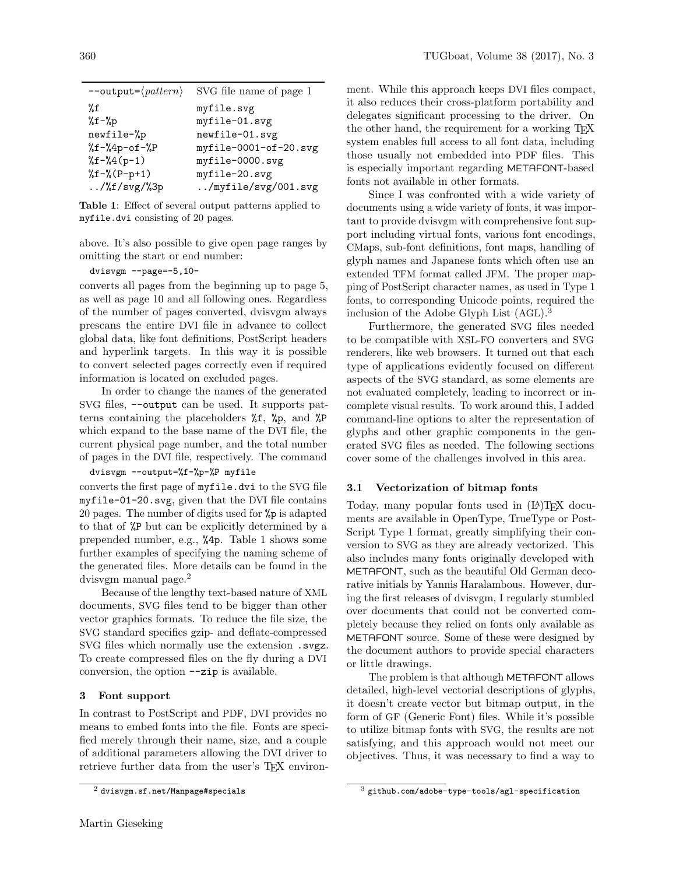| $--$ output= $\langle pattern \rangle$           | SVG file name of page 1 |
|--------------------------------------------------|-------------------------|
| %f                                               | myfile.svg              |
| $\sqrt[6]{t} - \sqrt[6]{p}$                      | myfile-01.svg           |
| newfile-%p                                       | newfile-01.svg          |
| $\sqrt[6]{5} - \sqrt[6]{4}p - of - \sqrt[6]{8}P$ | myfile-0001-of-20.svg   |
| $\sqrt[6]{5} - \sqrt[6]{4} (p-1)$                | myfile-0000.svg         |
| $\sqrt[6]{2}f - \sqrt[6]{(P-p+1)}$               | myfile-20.svg           |
| $/%f/svg/\%3p$                                   | /myfile/svg/001.svg     |

<span id="page-1-0"></span>Table 1: Effect of several output patterns applied to myfile.dvi consisting of 20 pages.

above. It's also possible to give open page ranges by omitting the start or end number:

dvisvgm --page=-5,10-

converts all pages from the beginning up to page 5, as well as page 10 and all following ones. Regardless of the number of pages converted, dvisvgm always prescans the entire DVI file in advance to collect global data, like font definitions, PostScript headers and hyperlink targets. In this way it is possible to convert selected pages correctly even if required information is located on excluded pages.

In order to change the names of the generated SVG files, --output can be used. It supports patterns containing the placeholders %f, %p, and %P which expand to the base name of the DVI file, the current physical page number, and the total number of pages in the DVI file, respectively. The command

# dvisvgm --output=%f-%p-%P myfile

converts the first page of myfile.dvi to the SVG file myfile-01-20.svg, given that the DVI file contains 20 pages. The number of digits used for %p is adapted to that of %P but can be explicitly determined by a prepended number, e.g., %4p. Table [1](#page-1-0) shows some further examples of specifying the naming scheme of the generated files. More details can be found in the dvisvgm manual page.[2](#page-1-1)

Because of the lengthy text-based nature of XML documents, SVG files tend to be bigger than other vector graphics formats. To reduce the file size, the SVG standard specifies gzip- and deflate-compressed SVG files which normally use the extension .svgz. To create compressed files on the fly during a DVI conversion, the option --zip is available.

# 3 Font support

In contrast to PostScript and PDF, DVI provides no means to embed fonts into the file. Fonts are specified merely through their name, size, and a couple of additional parameters allowing the DVI driver to retrieve further data from the user's T<sub>E</sub>X environ-

ment. While this approach keeps DVI files compact, it also reduces their cross-platform portability and delegates significant processing to the driver. On the other hand, the requirement for a working TEX system enables full access to all font data, including those usually not embedded into PDF files. This is especially important regarding METAFONT-based fonts not available in other formats.

Since I was confronted with a wide variety of documents using a wide variety of fonts, it was important to provide dvisvgm with comprehensive font support including virtual fonts, various font encodings, CMaps, sub-font definitions, font maps, handling of glyph names and Japanese fonts which often use an extended TFM format called JFM. The proper mapping of PostScript character names, as used in Type 1 fonts, to corresponding Unicode points, required the inclusion of the Adobe Glyph List (AGL).[3](#page-1-2)

Furthermore, the generated SVG files needed to be compatible with XSL-FO converters and SVG renderers, like web browsers. It turned out that each type of applications evidently focused on different aspects of the SVG standard, as some elements are not evaluated completely, leading to incorrect or incomplete visual results. To work around this, I added command-line options to alter the representation of glyphs and other graphic components in the generated SVG files as needed. The following sections cover some of the challenges involved in this area.

# 3.1 Vectorization of bitmap fonts

Today, many popular fonts used in  $(E)$ T<sub>E</sub>X documents are available in OpenType, TrueType or Post-Script Type 1 format, greatly simplifying their conversion to SVG as they are already vectorized. This also includes many fonts originally developed with METAFONT, such as the beautiful Old German decorative initials by Yannis Haralambous. However, during the first releases of dvisvgm, I regularly stumbled over documents that could not be converted completely because they relied on fonts only available as METAFONT source. Some of these were designed by the document authors to provide special characters or little drawings.

The problem is that although METAFONT allows detailed, high-level vectorial descriptions of glyphs, it doesn't create vector but bitmap output, in the form of GF (Generic Font) files. While it's possible to utilize bitmap fonts with SVG, the results are not satisfying, and this approach would not meet our objectives. Thus, it was necessary to find a way to

<span id="page-1-1"></span> $^{2}$  <dvisvgm.sf.net/Manpage#specials>

<span id="page-1-2"></span><sup>3</sup> <github.com/adobe-type-tools/agl-specification>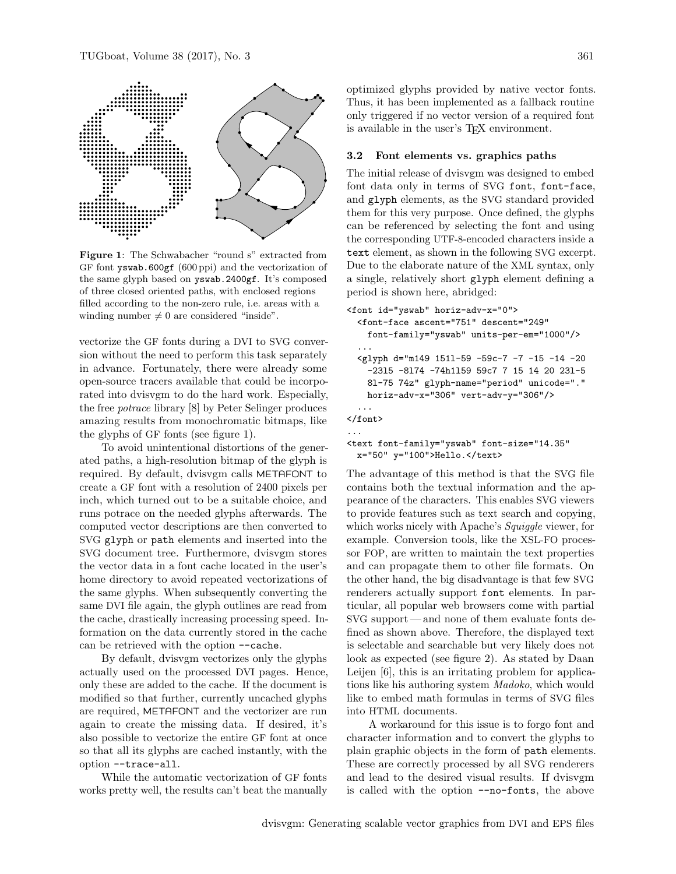

<span id="page-2-0"></span>Figure 1: The Schwabacher "round s" extracted from GF font yswab.600gf (600 ppi) and the vectorization of the same glyph based on yswab.2400gf. It's composed of three closed oriented paths, with enclosed regions filled according to the non-zero rule, i.e. areas with a winding number  $\neq 0$  are considered "inside".

vectorize the GF fonts during a DVI to SVG conversion without the need to perform this task separately in advance. Fortunately, there were already some open-source tracers available that could be incorporated into dvisvgm to do the hard work. Especially, the free potrace library [\[8\]](#page-9-4) by Peter Selinger produces amazing results from monochromatic bitmaps, like the glyphs of GF fonts (see figure [1\)](#page-2-0).

To avoid unintentional distortions of the generated paths, a high-resolution bitmap of the glyph is required. By default, dvisvgm calls METAFONT to create a GF font with a resolution of 2400 pixels per inch, which turned out to be a suitable choice, and runs potrace on the needed glyphs afterwards. The computed vector descriptions are then converted to SVG glyph or path elements and inserted into the SVG document tree. Furthermore, dvisvgm stores the vector data in a font cache located in the user's home directory to avoid repeated vectorizations of the same glyphs. When subsequently converting the same DVI file again, the glyph outlines are read from the cache, drastically increasing processing speed. Information on the data currently stored in the cache can be retrieved with the option --cache.

By default, dvisvgm vectorizes only the glyphs actually used on the processed DVI pages. Hence, only these are added to the cache. If the document is modified so that further, currently uncached glyphs are required, METAFONT and the vectorizer are run again to create the missing data. If desired, it's also possible to vectorize the entire GF font at once so that all its glyphs are cached instantly, with the option --trace-all.

While the automatic vectorization of GF fonts works pretty well, the results can't beat the manually

optimized glyphs provided by native vector fonts. Thus, it has been implemented as a fallback routine only triggered if no vector version of a required font is available in the user's TEX environment.

#### <span id="page-2-1"></span>3.2 Font elements vs. graphics paths

The initial release of dvisvgm was designed to embed font data only in terms of SVG font, font-face, and glyph elements, as the SVG standard provided them for this very purpose. Once defined, the glyphs can be referenced by selecting the font and using the corresponding UTF-8-encoded characters inside a text element, as shown in the following SVG excerpt. Due to the elaborate nature of the XML syntax, only a single, relatively short glyph element defining a period is shown here, abridged:

```
<font id="yswab" horiz-adv-x="0">
  <font-face ascent="751" descent="249"
   font-family="yswab" units-per-em="1000"/>
  ...
  <glyph d="m149 151l-59 -59c-7 -7 -15 -14 -20
    -23l5 -8l74 -74h1l59 59c7 7 15 14 20 23l-5
   8l-75 74z" glyph-name="period" unicode="."
   horiz-adv-x="306" vert-adv-y="306"/>
  ...
</font>
...
```

```
<text font-family="yswab" font-size="14.35"
 x="50" y="100">Hello.</text>
```
The advantage of this method is that the SVG file contains both the textual information and the appearance of the characters. This enables SVG viewers to provide features such as text search and copying, which works nicely with Apache's Squiggle viewer, for example. Conversion tools, like the XSL-FO processor FOP, are written to maintain the text properties and can propagate them to other file formats. On the other hand, the big disadvantage is that few SVG renderers actually support font elements. In particular, all popular web browsers come with partial SVG support— and none of them evaluate fonts defined as shown above. Therefore, the displayed text is selectable and searchable but very likely does not look as expected (see figure [2\)](#page-3-0). As stated by Daan Leijen [\[6\]](#page-9-5), this is an irritating problem for applications like his authoring system Madoko, which would like to embed math formulas in terms of SVG files into HTML documents.

A workaround for this issue is to forgo font and character information and to convert the glyphs to plain graphic objects in the form of path elements. These are correctly processed by all SVG renderers and lead to the desired visual results. If dvisvgm is called with the option --no-fonts, the above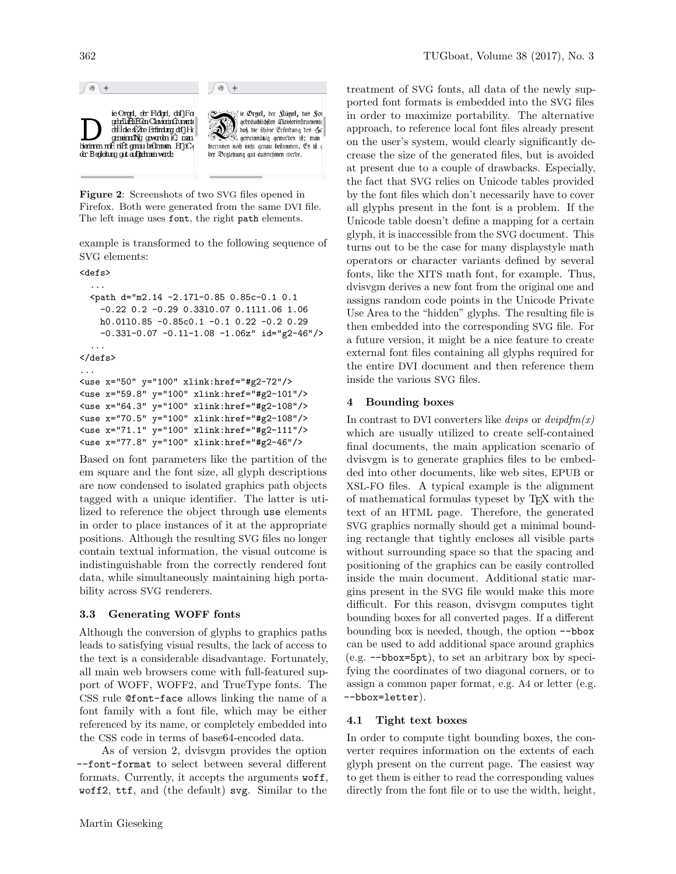

<span id="page-3-0"></span>Figure 2: Screenshots of two SVG files opened in Firefox. Both were generated from the same DVI file. The left image uses font, the right path elements.

example is transformed to the following sequence of SVG elements:

<defs>

```
...
  <path d="m2.14 -2.17l-0.85 0.85c-0.1 0.1
    -0.22 0.2 -0.29 0.33l0.07 0.11l1.06 1.06
   h0.01l0.85 -0.85c0.1 -0.1 0.22 -0.2 0.29
    -0.33l-0.07 -0.1l-1.08 -1.06z" id="g2-46"/>
  ...
</defs>
...
<use x="50" y="100" xlink:href="#g2-72"/>
```

```
<use x="59.8" y="100" xlink:href="#g2-101"/>
<use x="64.3" y="100" xlink:href="#g2-108"/>
<use x="70.5" y="100" xlink:href="#g2-108"/>
<use x="71.1" y="100" xlink:href="#g2-111"/>
<use x="77.8" y="100" xlink:href="#g2-46"/>
```

```
Based on font parameters like the partition of the
em square and the font size, all glyph descriptions
are now condensed to isolated graphics path objects
tagged with a unique identifier. The latter is uti-
lized to reference the object through use elements
in order to place instances of it at the appropriate
positions. Although the resulting SVG files no longer
contain textual information, the visual outcome is
indistinguishable from the correctly rendered font
data, while simultaneously maintaining high porta-
bility across SVG renderers.
```
# 3.3 Generating WOFF fonts

Although the conversion of glyphs to graphics paths leads to satisfying visual results, the lack of access to the text is a considerable disadvantage. Fortunately, all main web browsers come with full-featured support of WOFF, WOFF2, and TrueType fonts. The CSS rule @font-face allows linking the name of a font family with a font file, which may be either referenced by its name, or completely embedded into the CSS code in terms of base64-encoded data.

As of version 2, dvisvgm provides the option --font-format to select between several different formats. Currently, it accepts the arguments woff, woff2, ttf, and (the default) svg. Similar to the

treatment of SVG fonts, all data of the newly supported font formats is embedded into the SVG files in order to maximize portability. The alternative approach, to reference local font files already present on the user's system, would clearly significantly decrease the size of the generated files, but is avoided at present due to a couple of drawbacks. Especially, the fact that SVG relies on Unicode tables provided by the font files which don't necessarily have to cover all glyphs present in the font is a problem. If the Unicode table doesn't define a mapping for a certain glyph, it is inaccessible from the SVG document. This turns out to be the case for many displaystyle math operators or character variants defined by several fonts, like the XITS math font, for example. Thus, dvisvgm derives a new font from the original one and assigns random code points in the Unicode Private Use Area to the "hidden" glyphs. The resulting file is then embedded into the corresponding SVG file. For a future version, it might be a nice feature to create external font files containing all glyphs required for the entire DVI document and then reference them inside the various SVG files.

### <span id="page-3-1"></span>4 Bounding boxes

In contrast to DVI converters like *dvips* or  $divipdfm(x)$ which are usually utilized to create self-contained final documents, the main application scenario of dvisvgm is to generate graphics files to be embedded into other documents, like web sites, EPUB or XSL-FO files. A typical example is the alignment of mathematical formulas typeset by TEX with the text of an HTML page. Therefore, the generated SVG graphics normally should get a minimal bounding rectangle that tightly encloses all visible parts without surrounding space so that the spacing and positioning of the graphics can be easily controlled inside the main document. Additional static margins present in the SVG file would make this more difficult. For this reason, dvisvgm computes tight bounding boxes for all converted pages. If a different bounding box is needed, though, the option --bbox can be used to add additional space around graphics (e.g. --bbox=5pt), to set an arbitrary box by specifying the coordinates of two diagonal corners, or to assign a common paper format, e.g. A4 or letter (e.g. --bbox=letter).

# 4.1 Tight text boxes

In order to compute tight bounding boxes, the converter requires information on the extents of each glyph present on the current page. The easiest way to get them is either to read the corresponding values directly from the font file or to use the width, height,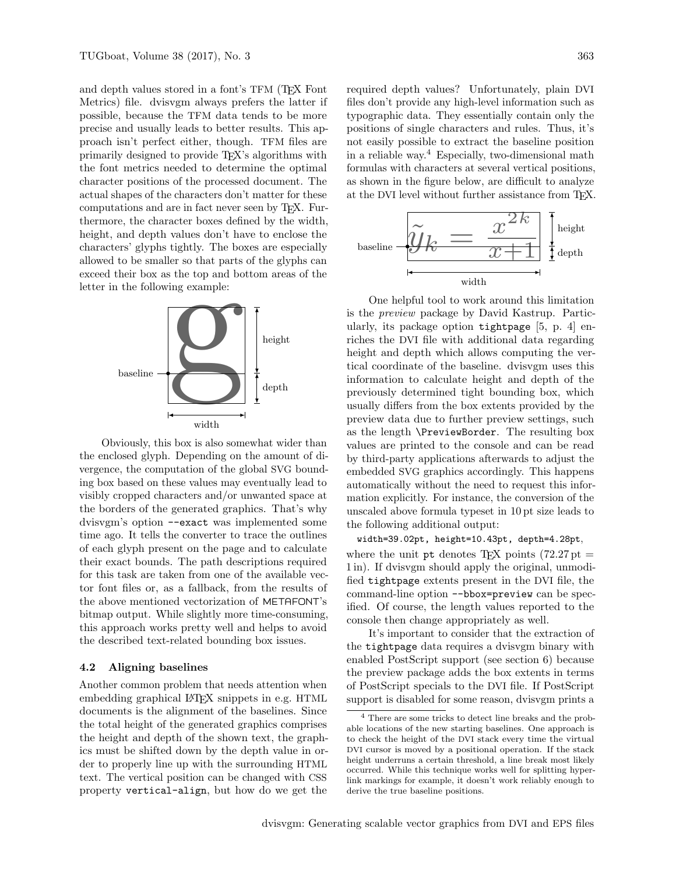and depth values stored in a font's TFM (TEX Font Metrics) file. dvisvgm always prefers the latter if possible, because the TFM data tends to be more precise and usually leads to better results. This approach isn't perfect either, though. TFM files are primarily designed to provide TEX's algorithms with the font metrics needed to determine the optimal character positions of the processed document. The actual shapes of the characters don't matter for these computations and are in fact never seen by TEX. Furthermore, the character boxes defined by the width, height, and depth values don't have to enclose the characters' glyphs tightly. The boxes are especially allowed to be smaller so that parts of the glyphs can exceed their box as the top and bottom areas of the letter in the following example:



Obviously, this box is also somewhat wider than the enclosed glyph. Depending on the amount of divergence, the computation of the global SVG bounding box based on these values may eventually lead to visibly cropped characters and/or unwanted space at the borders of the generated graphics. That's why dvisvgm's option --exact was implemented some time ago. It tells the converter to trace the outlines of each glyph present on the page and to calculate their exact bounds. The path descriptions required for this task are taken from one of the available vector font files or, as a fallback, from the results of the above mentioned vectorization of METAFONT's bitmap output. While slightly more time-consuming, this approach works pretty well and helps to avoid the described text-related bounding box issues.

### 4.2 Aligning baselines

Another common problem that needs attention when embedding graphical LATEX snippets in e.g. HTML documents is the alignment of the baselines. Since the total height of the generated graphics comprises the height and depth of the shown text, the graphics must be shifted down by the depth value in order to properly line up with the surrounding HTML text. The vertical position can be changed with CSS property vertical-align, but how do we get the

required depth values? Unfortunately, plain DVI files don't provide any high-level information such as typographic data. They essentially contain only the positions of single characters and rules. Thus, it's not easily possible to extract the baseline position in a reliable way.[4](#page-4-0) Especially, two-dimensional math formulas with characters at several vertical positions, as shown in the figure below, are difficult to analyze at the DVI level without further assistance from TFX.



One helpful tool to work around this limitation is the preview package by David Kastrup. Particularly, its package option tightpage [\[5,](#page-9-6) p. 4] enriches the DVI file with additional data regarding height and depth which allows computing the vertical coordinate of the baseline. dvisvgm uses this information to calculate height and depth of the previously determined tight bounding box, which usually differs from the box extents provided by the preview data due to further preview settings, such as the length \PreviewBorder. The resulting box values are printed to the console and can be read by third-party applications afterwards to adjust the embedded SVG graphics accordingly. This happens automatically without the need to request this information explicitly. For instance, the conversion of the unscaled above formula typeset in 10 pt size leads to the following additional output:

width=39.02pt, height=10.43pt, depth=4.28pt, where the unit pt denotes T<sub>EX</sub> points  $(72.27 \text{ pt} =$ 1 in). If dvisvgm should apply the original, unmodified tightpage extents present in the DVI file, the command-line option --bbox=preview can be specified. Of course, the length values reported to the console then change appropriately as well.

It's important to consider that the extraction of the tightpage data requires a dvisvgm binary with enabled PostScript support (see section [6\)](#page-6-0) because the preview package adds the box extents in terms of PostScript specials to the DVI file. If PostScript support is disabled for some reason, dvisvgm prints a

<span id="page-4-0"></span><sup>4</sup> There are some tricks to detect line breaks and the probable locations of the new starting baselines. One approach is to check the height of the DVI stack every time the virtual DVI cursor is moved by a positional operation. If the stack height underruns a certain threshold, a line break most likely occurred. While this technique works well for splitting hyperlink markings for example, it doesn't work reliably enough to derive the true baseline positions.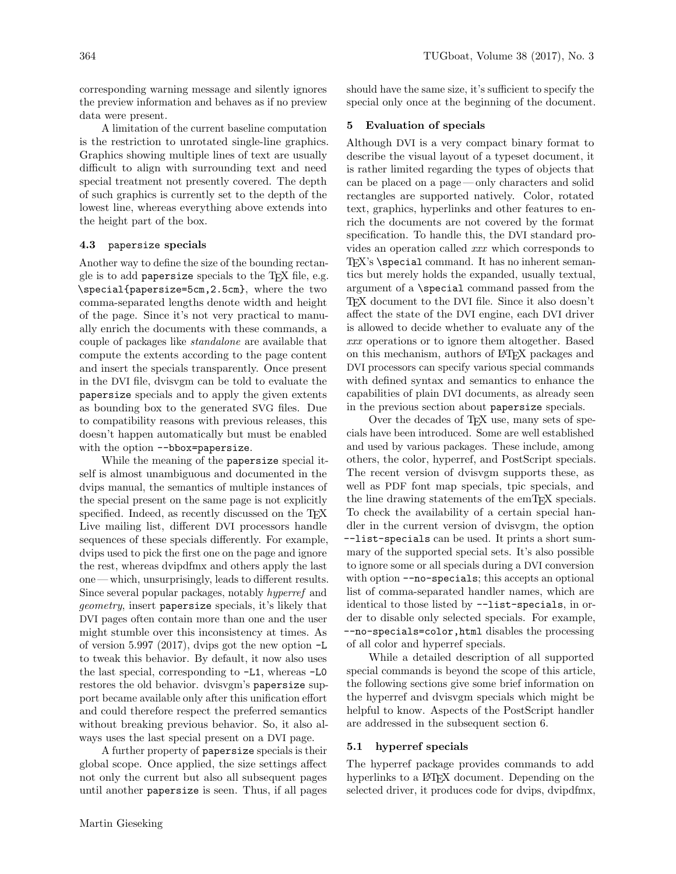corresponding warning message and silently ignores the preview information and behaves as if no preview data were present.

A limitation of the current baseline computation is the restriction to unrotated single-line graphics. Graphics showing multiple lines of text are usually difficult to align with surrounding text and need special treatment not presently covered. The depth of such graphics is currently set to the depth of the lowest line, whereas everything above extends into the height part of the box.

#### 4.3 papersize specials

Another way to define the size of the bounding rectangle is to add papersize specials to the TEX file, e.g. \special{papersize=5cm,2.5cm}, where the two comma-separated lengths denote width and height of the page. Since it's not very practical to manually enrich the documents with these commands, a couple of packages like standalone are available that compute the extents according to the page content and insert the specials transparently. Once present in the DVI file, dvisvgm can be told to evaluate the papersize specials and to apply the given extents as bounding box to the generated SVG files. Due to compatibility reasons with previous releases, this doesn't happen automatically but must be enabled with the option --bbox=papersize.

While the meaning of the papersize special itself is almost unambiguous and documented in the dvips manual, the semantics of multiple instances of the special present on the same page is not explicitly specified. Indeed, as recently discussed on the T<sub>E</sub>X Live mailing list, different DVI processors handle sequences of these specials differently. For example, dvips used to pick the first one on the page and ignore the rest, whereas dvipdfmx and others apply the last one — which, unsurprisingly, leads to different results. Since several popular packages, notably hyperref and geometry, insert papersize specials, it's likely that DVI pages often contain more than one and the user might stumble over this inconsistency at times. As of version 5.997 (2017), dvips got the new option -L to tweak this behavior. By default, it now also uses the last special, corresponding to -L1, whereas -L0 restores the old behavior. dvisvgm's papersize support became available only after this unification effort and could therefore respect the preferred semantics without breaking previous behavior. So, it also always uses the last special present on a DVI page.

A further property of papersize specials is their global scope. Once applied, the size settings affect not only the current but also all subsequent pages until another papersize is seen. Thus, if all pages should have the same size, it's sufficient to specify the special only once at the beginning of the document.

## 5 Evaluation of specials

Although DVI is a very compact binary format to describe the visual layout of a typeset document, it is rather limited regarding the types of objects that can be placed on a page — only characters and solid rectangles are supported natively. Color, rotated text, graphics, hyperlinks and other features to enrich the documents are not covered by the format specification. To handle this, the DVI standard provides an operation called  $xxx$  which corresponds to  $T_F X$ 's  $\searrow$ ial command. It has no inherent semantics but merely holds the expanded, usually textual, argument of a \special command passed from the TEX document to the DVI file. Since it also doesn't affect the state of the DVI engine, each DVI driver is allowed to decide whether to evaluate any of the xxx operations or to ignore them altogether. Based on this mechanism, authors of LATEX packages and DVI processors can specify various special commands with defined syntax and semantics to enhance the capabilities of plain DVI documents, as already seen in the previous section about papersize specials.

Over the decades of TEX use, many sets of specials have been introduced. Some are well established and used by various packages. These include, among others, the color, hyperref, and PostScript specials. The recent version of dvisvgm supports these, as well as PDF font map specials, tpic specials, and the line drawing statements of the emT<sub>E</sub>X specials. To check the availability of a certain special handler in the current version of dvisvgm, the option --list-specials can be used. It prints a short summary of the supported special sets. It's also possible to ignore some or all specials during a DVI conversion with option  $\text{-no-specials}$ ; this accepts an optional list of comma-separated handler names, which are identical to those listed by --list-specials, in order to disable only selected specials. For example, --no-specials=color,html disables the processing of all color and hyperref specials.

While a detailed description of all supported special commands is beyond the scope of this article, the following sections give some brief information on the hyperref and dvisvgm specials which might be helpful to know. Aspects of the PostScript handler are addressed in the subsequent section [6.](#page-6-0)

### 5.1 hyperref specials

The hyperref package provides commands to add hyperlinks to a LAT<sub>EX</sub> document. Depending on the selected driver, it produces code for dvips, dvipdfmx,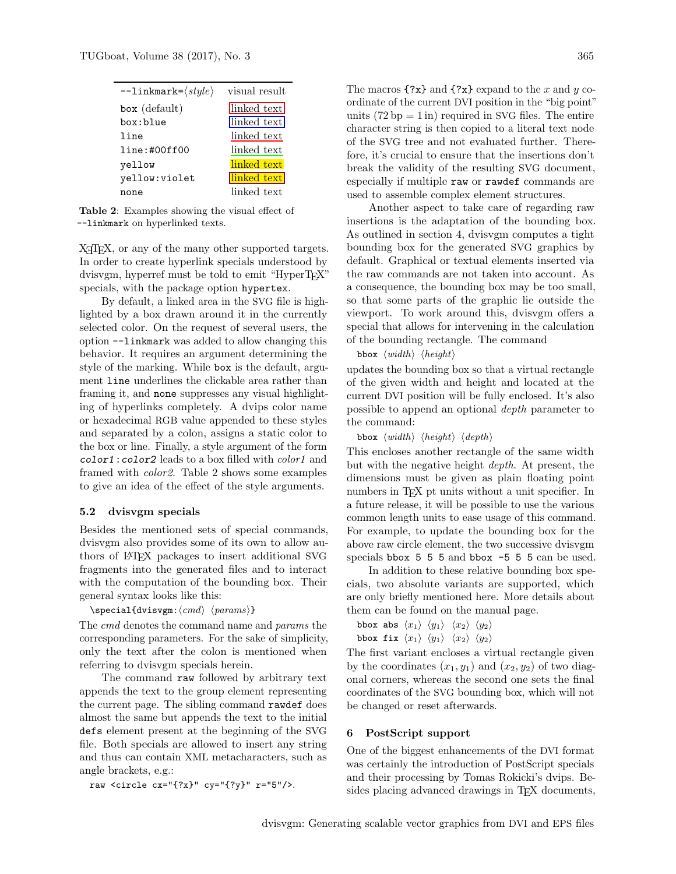| $--$ linkmark= $\langle style \rangle$ | visual result |
|----------------------------------------|---------------|
| $box$ (default)                        | linked text   |
| box:blue                               | linked text   |
| line                                   | linked text   |
| line: #00ff00                          | linked text   |
| yellow                                 | linked text   |
| yellow:violet                          | linked text   |
| none                                   | linked text   |

<span id="page-6-1"></span>Table 2: Examples showing the visual effect of --linkmark on hyperlinked texts.

X<sub>H</sub>T<sub>E</sub>X, or any of the many other supported targets. In order to create hyperlink specials understood by dvisvgm, hyperref must be told to emit "HyperTFX" specials, with the package option hypertex.

By default, a linked area in the SVG file is highlighted by a box drawn around it in the currently selected color. On the request of several users, the option --linkmark was added to allow changing this behavior. It requires an argument determining the style of the marking. While box is the default, argument line underlines the clickable area rather than framing it, and none suppresses any visual highlighting of hyperlinks completely. A dvips color name or hexadecimal RGB value appended to these styles and separated by a colon, assigns a static color to the box or line. Finally, a style argument of the form color1:color2 leads to a box filled with color1 and framed with color2. Table [2](#page-6-1) shows some examples to give an idea of the effect of the style arguments.

### 5.2 dvisvgm specials

Besides the mentioned sets of special commands, dvisvgm also provides some of its own to allow authors of LATEX packages to insert additional SVG fragments into the generated files and to interact with the computation of the bounding box. Their general syntax looks like this:

```
\searrowspecial{dvisvgm:\langle cmd \rangle \langle params \rangle}
```
The cmd denotes the command name and params the corresponding parameters. For the sake of simplicity, only the text after the colon is mentioned when referring to dvisvgm specials herein.

The command raw followed by arbitrary text appends the text to the group element representing the current page. The sibling command rawdef does almost the same but appends the text to the initial defs element present at the beginning of the SVG file. Both specials are allowed to insert any string and thus can contain XML metacharacters, such as angle brackets, e.g.:

raw <circle cx="{?x}" cy="{?y}" r="5"/>.

The macros  $\{?x\}$  and  $\{?x\}$  expand to the x and y coordinate of the current DVI position in the "big point" units  $(72 bp = 1 in)$  required in SVG files. The entire character string is then copied to a literal text node of the SVG tree and not evaluated further. Therefore, it's crucial to ensure that the insertions don't break the validity of the resulting SVG document, especially if multiple raw or rawdef commands are used to assemble complex element structures.

Another aspect to take care of regarding raw insertions is the adaptation of the bounding box. As outlined in section [4,](#page-3-1) dvisvgm computes a tight bounding box for the generated SVG graphics by default. Graphical or textual elements inserted via the raw commands are not taken into account. As a consequence, the bounding box may be too small, so that some parts of the graphic lie outside the viewport. To work around this, dvisvgm offers a special that allows for intervening in the calculation of the bounding rectangle. The command

bbox  $\langle width \rangle$   $\langle height \rangle$ 

updates the bounding box so that a virtual rectangle of the given width and height and located at the current DVI position will be fully enclosed. It's also possible to append an optional depth parameter to the command:

```
bbox \langle width \rangle \langle height \rangle \langle depth \rangle
```
This encloses another rectangle of the same width but with the negative height depth. At present, the dimensions must be given as plain floating point numbers in T<sub>E</sub>X pt units without a unit specifier. In a future release, it will be possible to use the various common length units to ease usage of this command. For example, to update the bounding box for the above raw circle element, the two successive dvisvgm specials bbox 5 5 5 and bbox -5 5 5 can be used.

In addition to these relative bounding box specials, two absolute variants are supported, which are only briefly mentioned here. More details about them can be found on the manual page.

```
bbox abs \langle x_1 \rangle \langle y_1 \rangle \langle x_2 \rangle \langle y_2 \ranglebbox fix \langle x_1 \rangle \langle y_1 \rangle \langle x_2 \rangle \langle y_2 \rangle
```
The first variant encloses a virtual rectangle given by the coordinates  $(x_1, y_1)$  and  $(x_2, y_2)$  of two diagonal corners, whereas the second one sets the final coordinates of the SVG bounding box, which will not be changed or reset afterwards.

## <span id="page-6-0"></span>6 PostScript support

One of the biggest enhancements of the DVI format was certainly the introduction of PostScript specials and their processing by Tomas Rokicki's dvips. Besides placing advanced drawings in TFX documents,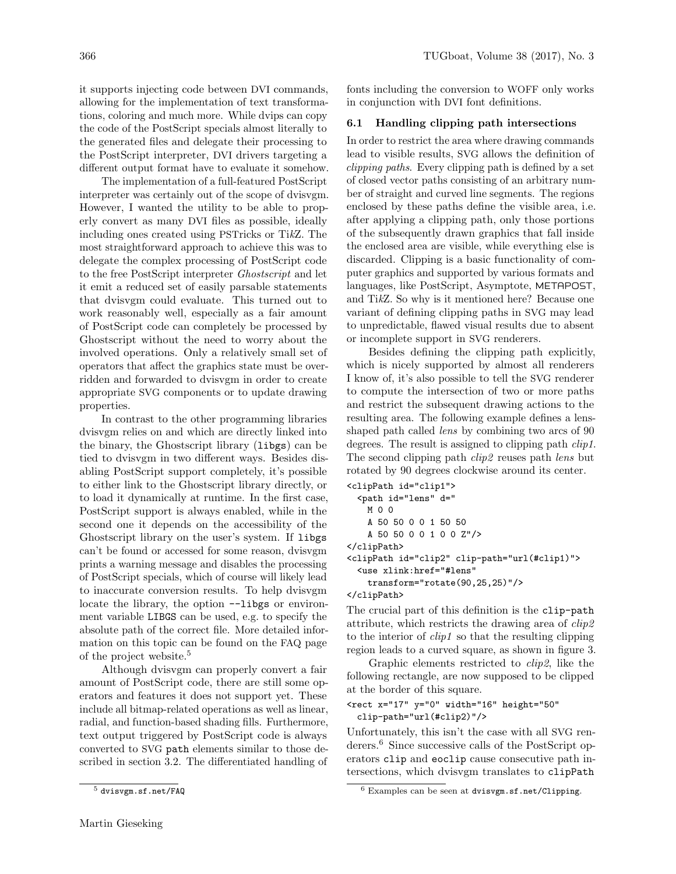it supports injecting code between DVI commands, allowing for the implementation of text transformations, coloring and much more. While dvips can copy the code of the PostScript specials almost literally to the generated files and delegate their processing to the PostScript interpreter, DVI drivers targeting a different output format have to evaluate it somehow.

The implementation of a full-featured PostScript interpreter was certainly out of the scope of dvisvgm. However, I wanted the utility to be able to properly convert as many DVI files as possible, ideally including ones created using PSTricks or TikZ. The most straightforward approach to achieve this was to delegate the complex processing of PostScript code to the free PostScript interpreter Ghostscript and let it emit a reduced set of easily parsable statements that dvisvgm could evaluate. This turned out to work reasonably well, especially as a fair amount of PostScript code can completely be processed by Ghostscript without the need to worry about the involved operations. Only a relatively small set of operators that affect the graphics state must be overridden and forwarded to dvisvgm in order to create appropriate SVG components or to update drawing properties.

In contrast to the other programming libraries dvisvgm relies on and which are directly linked into the binary, the Ghostscript library (libgs) can be tied to dvisvgm in two different ways. Besides disabling PostScript support completely, it's possible to either link to the Ghostscript library directly, or to load it dynamically at runtime. In the first case, PostScript support is always enabled, while in the second one it depends on the accessibility of the Ghostscript library on the user's system. If libgs can't be found or accessed for some reason, dvisvgm prints a warning message and disables the processing of PostScript specials, which of course will likely lead to inaccurate conversion results. To help dvisvgm locate the library, the option  $\neg$ -libgs or environment variable LIBGS can be used, e.g. to specify the absolute path of the correct file. More detailed information on this topic can be found on the FAQ page of the project website.[5](#page-7-0)

Although dvisvgm can properly convert a fair amount of PostScript code, there are still some operators and features it does not support yet. These include all bitmap-related operations as well as linear, radial, and function-based shading fills. Furthermore, text output triggered by PostScript code is always converted to SVG path elements similar to those described in section [3.2.](#page-2-1) The differentiated handling of

fonts including the conversion to WOFF only works in conjunction with DVI font definitions.

### 6.1 Handling clipping path intersections

In order to restrict the area where drawing commands lead to visible results, SVG allows the definition of clipping paths. Every clipping path is defined by a set of closed vector paths consisting of an arbitrary number of straight and curved line segments. The regions enclosed by these paths define the visible area, i.e. after applying a clipping path, only those portions of the subsequently drawn graphics that fall inside the enclosed area are visible, while everything else is discarded. Clipping is a basic functionality of computer graphics and supported by various formats and languages, like PostScript, Asymptote, METAPOST, and TikZ. So why is it mentioned here? Because one variant of defining clipping paths in SVG may lead to unpredictable, flawed visual results due to absent or incomplete support in SVG renderers.

Besides defining the clipping path explicitly, which is nicely supported by almost all renderers I know of, it's also possible to tell the SVG renderer to compute the intersection of two or more paths and restrict the subsequent drawing actions to the resulting area. The following example defines a lensshaped path called *lens* by combining two arcs of 90 degrees. The result is assigned to clipping path *clip1*. The second clipping path *clip2* reuses path *lens* but rotated by 90 degrees clockwise around its center.

```
<clipPath id="clip1">
  <path id="lens" d="
   M 0 0
   A 50 50 0 0 1 50 50
   A 50 50 0 0 1 0 0 Z"/>
</clipPath>
<clipPath id="clip2" clip-path="url(#clip1)">
  <use xlink:href="#lens"
   transform="rotate(90,25,25)"/>
</clipPath>
```
The crucial part of this definition is the clip-path attribute, which restricts the drawing area of clip2 to the interior of  $\text{clip1}$  so that the resulting clipping region leads to a curved square, as shown in figure [3.](#page-8-0)

Graphic elements restricted to clip2, like the following rectangle, are now supposed to be clipped at the border of this square.

```
<rect x="17" y="0" width="16" height="50"
 clip-path="url(#clip2)"/>
```
Unfortunately, this isn't the case with all SVG renderers.[6](#page-7-1) Since successive calls of the PostScript operators clip and eoclip cause consecutive path intersections, which dvisvgm translates to clipPath

<span id="page-7-0"></span><sup>5</sup> <dvisvgm.sf.net/FAQ>

<span id="page-7-1"></span> $6$  Examples can be seen at <dvisvgm.sf.net/Clipping>.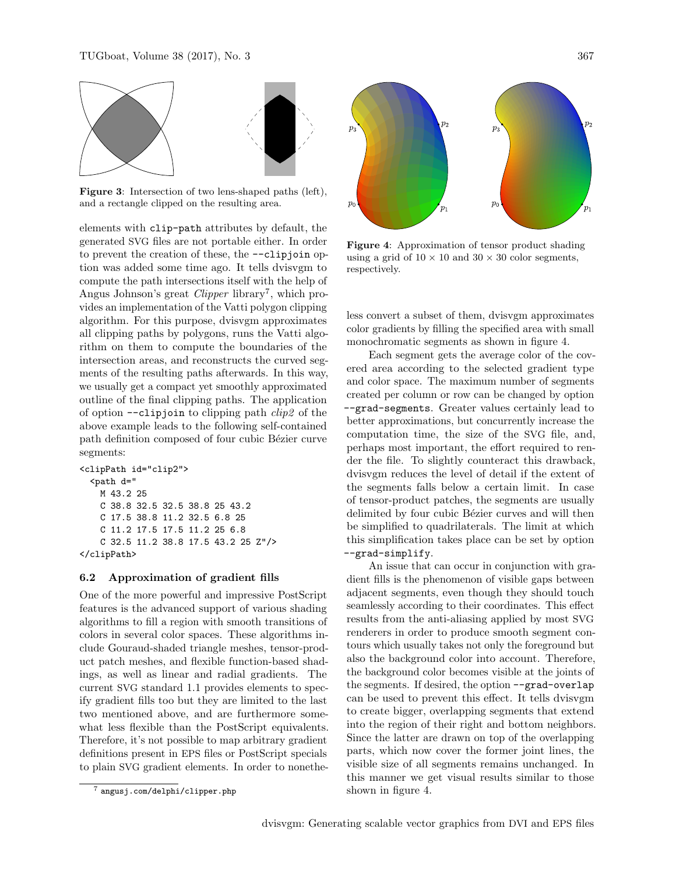

<span id="page-8-0"></span>Figure 3: Intersection of two lens-shaped paths (left), and a rectangle clipped on the resulting area.

elements with clip-path attributes by default, the generated SVG files are not portable either. In order to prevent the creation of these, the --clipjoin option was added some time ago. It tells dvisvgm to compute the path intersections itself with the help of Angus Johnson's great *Clipper* library<sup>[7](#page-8-1)</sup>, which provides an implementation of the Vatti polygon clipping algorithm. For this purpose, dvisvgm approximates all clipping paths by polygons, runs the Vatti algorithm on them to compute the boundaries of the intersection areas, and reconstructs the curved segments of the resulting paths afterwards. In this way, we usually get a compact yet smoothly approximated outline of the final clipping paths. The application of option  $\text{-clipjoin}$  to clipping path  $\text{clip2}$  of the above example leads to the following self-contained path definition composed of four cubic Bézier curve segments:

<clipPath id="clip2"> <path d=" M 43.2 25 C 38.8 32.5 32.5 38.8 25 43.2 C 17.5 38.8 11.2 32.5 6.8 25 C 11.2 17.5 17.5 11.2 25 6.8 C 32.5 11.2 38.8 17.5 43.2 25 Z"/> </clipPath>

### 6.2 Approximation of gradient fills

One of the more powerful and impressive PostScript features is the advanced support of various shading algorithms to fill a region with smooth transitions of colors in several color spaces. These algorithms include Gouraud-shaded triangle meshes, tensor-product patch meshes, and flexible function-based shadings, as well as linear and radial gradients. The current SVG standard 1.1 provides elements to specify gradient fills too but they are limited to the last two mentioned above, and are furthermore somewhat less flexible than the PostScript equivalents. Therefore, it's not possible to map arbitrary gradient definitions present in EPS files or PostScript specials to plain SVG gradient elements. In order to nonethe-



Figure 4: Approximation of tensor product shading using a grid of  $10 \times 10$  and  $30 \times 30$  color segments, respectively.

<span id="page-8-2"></span>less convert a subset of them, dvisvgm approximates color gradients by filling the specified area with small monochromatic segments as shown in figure [4.](#page-8-2)

Each segment gets the average color of the covered area according to the selected gradient type and color space. The maximum number of segments created per column or row can be changed by option --grad-segments. Greater values certainly lead to better approximations, but concurrently increase the computation time, the size of the SVG file, and, perhaps most important, the effort required to render the file. To slightly counteract this drawback, dvisvgm reduces the level of detail if the extent of the segments falls below a certain limit. In case of tensor-product patches, the segments are usually delimited by four cubic Bézier curves and will then be simplified to quadrilaterals. The limit at which this simplification takes place can be set by option --grad-simplify.

An issue that can occur in conjunction with gradient fills is the phenomenon of visible gaps between adjacent segments, even though they should touch seamlessly according to their coordinates. This effect results from the anti-aliasing applied by most SVG renderers in order to produce smooth segment contours which usually takes not only the foreground but also the background color into account. Therefore, the background color becomes visible at the joints of the segments. If desired, the option --grad-overlap can be used to prevent this effect. It tells dvisvgm to create bigger, overlapping segments that extend into the region of their right and bottom neighbors. Since the latter are drawn on top of the overlapping parts, which now cover the former joint lines, the visible size of all segments remains unchanged. In this manner we get visual results similar to those shown in figure [4.](#page-8-2)

<span id="page-8-1"></span><sup>7</sup> <angusj.com/delphi/clipper.php>